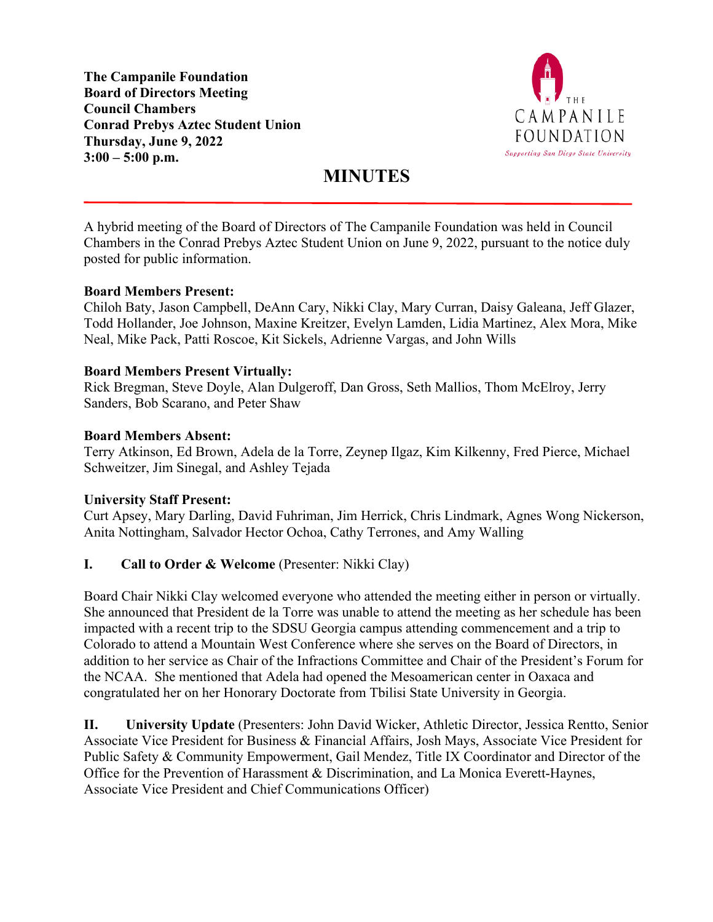**The Campanile Foundation Board of Directors Meeting Council Chambers Conrad Prebys Aztec Student Union Thursday, June 9, 2022 3:00 – 5:00 p.m.**



# **MINUTES**

A hybrid meeting of the Board of Directors of The Campanile Foundation was held in Council Chambers in the Conrad Prebys Aztec Student Union on June 9, 2022, pursuant to the notice duly posted for public information.

#### **Board Members Present:**

Chiloh Baty, Jason Campbell, DeAnn Cary, Nikki Clay, Mary Curran, Daisy Galeana, Jeff Glazer, Todd Hollander, Joe Johnson, Maxine Kreitzer, Evelyn Lamden, Lidia Martinez, Alex Mora, Mike Neal, Mike Pack, Patti Roscoe, Kit Sickels, Adrienne Vargas, and John Wills

#### **Board Members Present Virtually:**

Rick Bregman, Steve Doyle, Alan Dulgeroff, Dan Gross, Seth Mallios, Thom McElroy, Jerry Sanders, Bob Scarano, and Peter Shaw

#### **Board Members Absent:**

Terry Atkinson, Ed Brown, Adela de la Torre, Zeynep Ilgaz, Kim Kilkenny, Fred Pierce, Michael Schweitzer, Jim Sinegal, and Ashley Tejada

#### **University Staff Present:**

Curt Apsey, Mary Darling, David Fuhriman, Jim Herrick, Chris Lindmark, Agnes Wong Nickerson, Anita Nottingham, Salvador Hector Ochoa, Cathy Terrones, and Amy Walling

#### **I. Call to Order & Welcome** (Presenter: Nikki Clay)

Board Chair Nikki Clay welcomed everyone who attended the meeting either in person or virtually. She announced that President de la Torre was unable to attend the meeting as her schedule has been impacted with a recent trip to the SDSU Georgia campus attending commencement and a trip to Colorado to attend a Mountain West Conference where she serves on the Board of Directors, in addition to her service as Chair of the Infractions Committee and Chair of the President's Forum for the NCAA. She mentioned that Adela had opened the Mesoamerican center in Oaxaca and congratulated her on her Honorary Doctorate from Tbilisi State University in Georgia.

**II. University Update** (Presenters: John David Wicker, Athletic Director, Jessica Rentto, Senior Associate Vice President for Business & Financial Affairs, Josh Mays, Associate Vice President for Public Safety & Community Empowerment, Gail Mendez, Title IX Coordinator and Director of the Office for the Prevention of Harassment & Discrimination, and La Monica Everett-Haynes, Associate Vice President and Chief Communications Officer)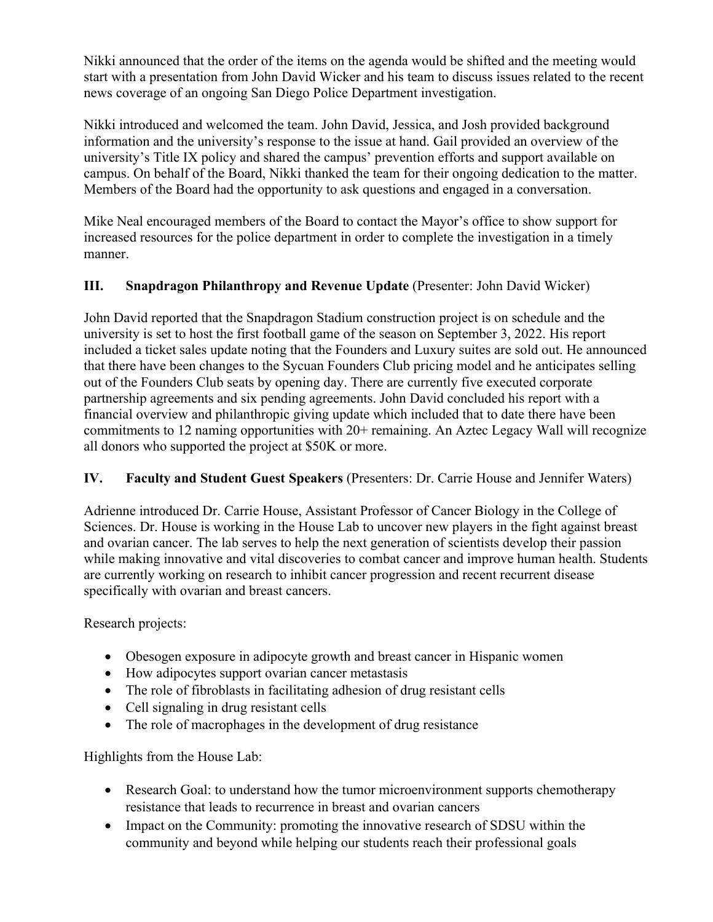Nikki announced that the order of the items on the agenda would be shifted and the meeting would start with a presentation from John David Wicker and his team to discuss issues related to the recent news coverage of an ongoing San Diego Police Department investigation.

Nikki introduced and welcomed the team. John David, Jessica, and Josh provided background information and the university's response to the issue at hand. Gail provided an overview of the university's Title IX policy and shared the campus' prevention efforts and support available on campus. On behalf of the Board, Nikki thanked the team for their ongoing dedication to the matter. Members of the Board had the opportunity to ask questions and engaged in a conversation.

Mike Neal encouraged members of the Board to contact the Mayor's office to show support for increased resources for the police department in order to complete the investigation in a timely manner.

# **III.** Snapdragon Philanthropy and Revenue Update (Presenter: John David Wicker)

John David reported that the Snapdragon Stadium construction project is on schedule and the university is set to host the first football game of the season on September 3, 2022. His report included a ticket sales update noting that the Founders and Luxury suites are sold out. He announced that there have been changes to the Sycuan Founders Club pricing model and he anticipates selling out of the Founders Club seats by opening day. There are currently five executed corporate partnership agreements and six pending agreements. John David concluded his report with a financial overview and philanthropic giving update which included that to date there have been commitments to 12 naming opportunities with 20+ remaining. An Aztec Legacy Wall will recognize all donors who supported the project at \$50K or more.

## **IV. Faculty and Student Guest Speakers** (Presenters: Dr. Carrie House and Jennifer Waters)

Adrienne introduced Dr. Carrie House, Assistant Professor of Cancer Biology in the College of Sciences. Dr. House is working in the House Lab to uncover new players in the fight against breast and ovarian cancer. The lab serves to help the next generation of scientists develop their passion while making innovative and vital discoveries to combat cancer and improve human health. Students are currently working on research to inhibit cancer progression and recent recurrent disease specifically with ovarian and breast cancers.

Research projects:

- Obesogen exposure in adipocyte growth and breast cancer in Hispanic women
- How adipocytes support ovarian cancer metastasis
- The role of fibroblasts in facilitating adhesion of drug resistant cells
- Cell signaling in drug resistant cells
- The role of macrophages in the development of drug resistance

Highlights from the House Lab:

- Research Goal: to understand how the tumor microenvironment supports chemotherapy resistance that leads to recurrence in breast and ovarian cancers
- Impact on the Community: promoting the innovative research of SDSU within the community and beyond while helping our students reach their professional goals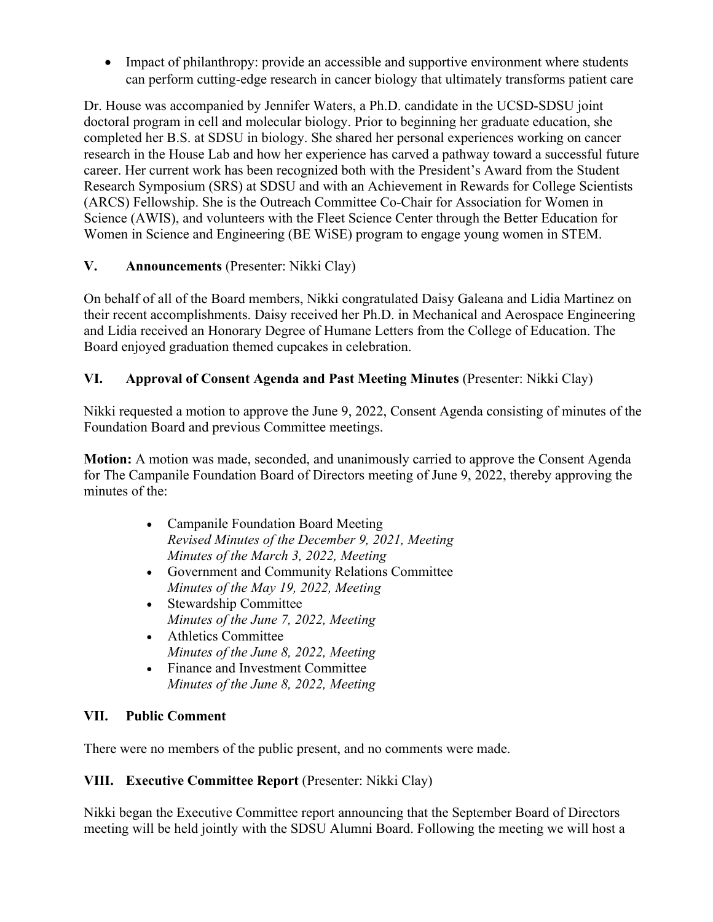• Impact of philanthropy: provide an accessible and supportive environment where students can perform cutting-edge research in cancer biology that ultimately transforms patient care

Dr. House was accompanied by Jennifer Waters, a Ph.D. candidate in the UCSD-SDSU joint doctoral program in cell and molecular biology. Prior to beginning her graduate education, she completed her B.S. at SDSU in biology. She shared her personal experiences working on cancer research in the House Lab and how her experience has carved a pathway toward a successful future career. Her current work has been recognized both with the President's Award from the Student Research Symposium (SRS) at SDSU and with an Achievement in Rewards for College Scientists (ARCS) Fellowship. She is the Outreach Committee Co-Chair for Association for Women in Science (AWIS), and volunteers with the Fleet Science Center through the Better Education for Women in Science and Engineering (BE WiSE) program to engage young women in STEM.

# **V. Announcements** (Presenter: Nikki Clay)

On behalf of all of the Board members, Nikki congratulated Daisy Galeana and Lidia Martinez on their recent accomplishments. Daisy received her Ph.D. in Mechanical and Aerospace Engineering and Lidia received an Honorary Degree of Humane Letters from the College of Education. The Board enjoyed graduation themed cupcakes in celebration.

# **VI. Approval of Consent Agenda and Past Meeting Minutes** (Presenter: Nikki Clay)

Nikki requested a motion to approve the June 9, 2022, Consent Agenda consisting of minutes of the Foundation Board and previous Committee meetings.

**Motion:** A motion was made, seconded, and unanimously carried to approve the Consent Agenda for The Campanile Foundation Board of Directors meeting of June 9, 2022, thereby approving the minutes of the:

- Campanile Foundation Board Meeting *Revised Minutes of the December 9, 2021, Meeting Minutes of the March 3, 2022, Meeting*
- Government and Community Relations Committee *Minutes of the May 19, 2022, Meeting*
- Stewardship Committee *Minutes of the June 7, 2022, Meeting*
- Athletics Committee *Minutes of the June 8, 2022, Meeting*
- Finance and Investment Committee *Minutes of the June 8, 2022, Meeting*

## **VII. Public Comment**

There were no members of the public present, and no comments were made.

## **VIII.** Executive Committee Report (Presenter: Nikki Clay)

Nikki began the Executive Committee report announcing that the September Board of Directors meeting will be held jointly with the SDSU Alumni Board. Following the meeting we will host a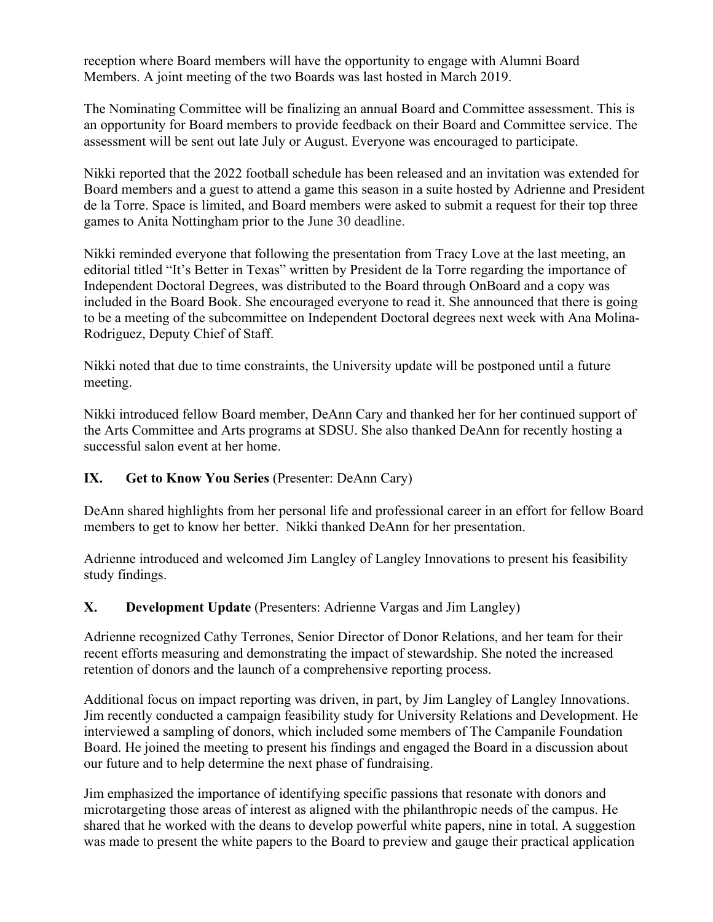reception where Board members will have the opportunity to engage with Alumni Board Members. A joint meeting of the two Boards was last hosted in March 2019.

The Nominating Committee will be finalizing an annual Board and Committee assessment. This is an opportunity for Board members to provide feedback on their Board and Committee service. The assessment will be sent out late July or August. Everyone was encouraged to participate.

Nikki reported that the 2022 football schedule has been released and an invitation was extended for Board members and a guest to attend a game this season in a suite hosted by Adrienne and President de la Torre. Space is limited, and Board members were asked to submit a request for their top three games to Anita Nottingham prior to the June 30 deadline.

Nikki reminded everyone that following the presentation from Tracy Love at the last meeting, an editorial titled "It's Better in Texas" written by President de la Torre regarding the importance of Independent Doctoral Degrees, was distributed to the Board through OnBoard and a copy was included in the Board Book. She encouraged everyone to read it. She announced that there is going to be a meeting of the subcommittee on Independent Doctoral degrees next week with Ana Molina-Rodriguez, Deputy Chief of Staff.

Nikki noted that due to time constraints, the University update will be postponed until a future meeting.

Nikki introduced fellow Board member, DeAnn Cary and thanked her for her continued support of the Arts Committee and Arts programs at SDSU. She also thanked DeAnn for recently hosting a successful salon event at her home.

## **IX. Get to Know You Series** (Presenter: DeAnn Cary)

DeAnn shared highlights from her personal life and professional career in an effort for fellow Board members to get to know her better. Nikki thanked DeAnn for her presentation.

Adrienne introduced and welcomed Jim Langley of Langley Innovations to present his feasibility study findings.

## **X. Development Update** (Presenters: Adrienne Vargas and Jim Langley)

Adrienne recognized Cathy Terrones, Senior Director of Donor Relations, and her team for their recent efforts measuring and demonstrating the impact of stewardship. She noted the increased retention of donors and the launch of a comprehensive reporting process.

Additional focus on impact reporting was driven, in part, by Jim Langley of Langley Innovations. Jim recently conducted a campaign feasibility study for University Relations and Development. He interviewed a sampling of donors, which included some members of The Campanile Foundation Board. He joined the meeting to present his findings and engaged the Board in a discussion about our future and to help determine the next phase of fundraising.

Jim emphasized the importance of identifying specific passions that resonate with donors and microtargeting those areas of interest as aligned with the philanthropic needs of the campus. He shared that he worked with the deans to develop powerful white papers, nine in total. A suggestion was made to present the white papers to the Board to preview and gauge their practical application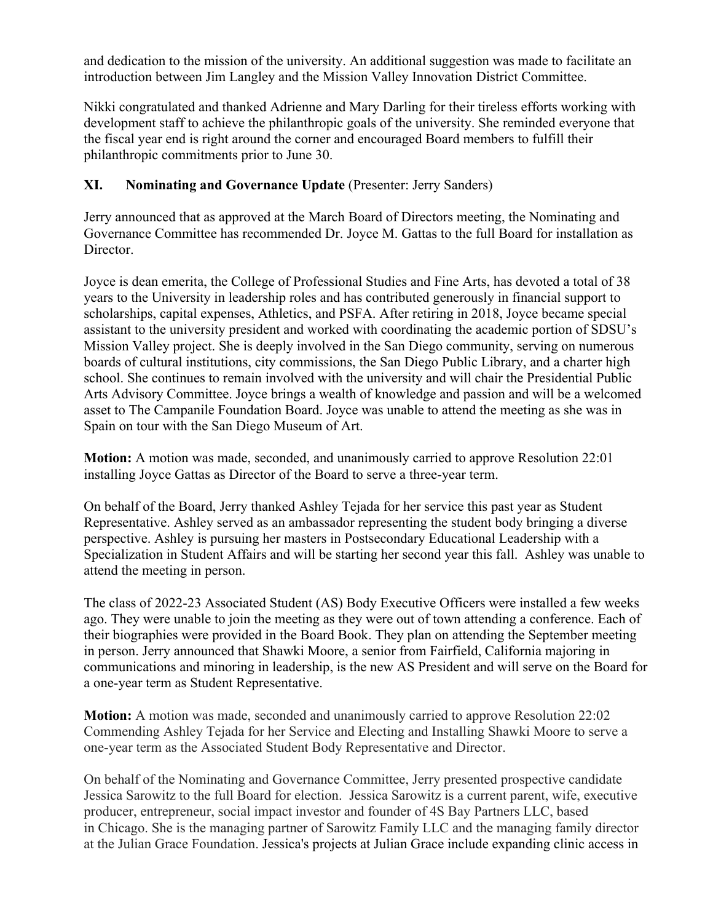and dedication to the mission of the university. An additional suggestion was made to facilitate an introduction between Jim Langley and the Mission Valley Innovation District Committee.

Nikki congratulated and thanked Adrienne and Mary Darling for their tireless efforts working with development staff to achieve the philanthropic goals of the university. She reminded everyone that the fiscal year end is right around the corner and encouraged Board members to fulfill their philanthropic commitments prior to June 30.

# **XI. Nominating and Governance Update** (Presenter: Jerry Sanders)

Jerry announced that as approved at the March Board of Directors meeting, the Nominating and Governance Committee has recommended Dr. Joyce M. Gattas to the full Board for installation as Director.

Joyce is dean emerita, the College of Professional Studies and Fine Arts, has devoted a total of 38 years to the University in leadership roles and has contributed generously in financial support to scholarships, capital expenses, Athletics, and PSFA. After retiring in 2018, Joyce became special assistant to the university president and worked with coordinating the academic portion of SDSU's Mission Valley project. She is deeply involved in the San Diego community, serving on numerous boards of cultural institutions, city commissions, the San Diego Public Library, and a charter high school. She continues to remain involved with the university and will chair the Presidential Public Arts Advisory Committee. Joyce brings a wealth of knowledge and passion and will be a welcomed asset to The Campanile Foundation Board. Joyce was unable to attend the meeting as she was in Spain on tour with the San Diego Museum of Art.

**Motion:** A motion was made, seconded, and unanimously carried to approve Resolution 22:01 installing Joyce Gattas as Director of the Board to serve a three-year term.

On behalf of the Board, Jerry thanked Ashley Tejada for her service this past year as Student Representative. Ashley served as an ambassador representing the student body bringing a diverse perspective. Ashley is pursuing her masters in Postsecondary Educational Leadership with a Specialization in Student Affairs and will be starting her second year this fall. Ashley was unable to attend the meeting in person.

The class of 2022-23 Associated Student (AS) Body Executive Officers were installed a few weeks ago. They were unable to join the meeting as they were out of town attending a conference. Each of their biographies were provided in the Board Book. They plan on attending the September meeting in person. Jerry announced that Shawki Moore, a senior from Fairfield, California majoring in communications and minoring in leadership, is the new AS President and will serve on the Board for a one-year term as Student Representative.

**Motion:** A motion was made, seconded and unanimously carried to approve Resolution 22:02 Commending Ashley Tejada for her Service and Electing and Installing Shawki Moore to serve a one-year term as the Associated Student Body Representative and Director.

On behalf of the Nominating and Governance Committee, Jerry presented prospective candidate Jessica Sarowitz to the full Board for election. Jessica Sarowitz is a current parent, wife, executive producer, entrepreneur, social impact investor and founder of 4S Bay Partners LLC, based in Chicago. She is the managing partner of Sarowitz Family LLC and the managing family director at the Julian Grace Foundation. Jessica's projects at Julian Grace include expanding clinic access in